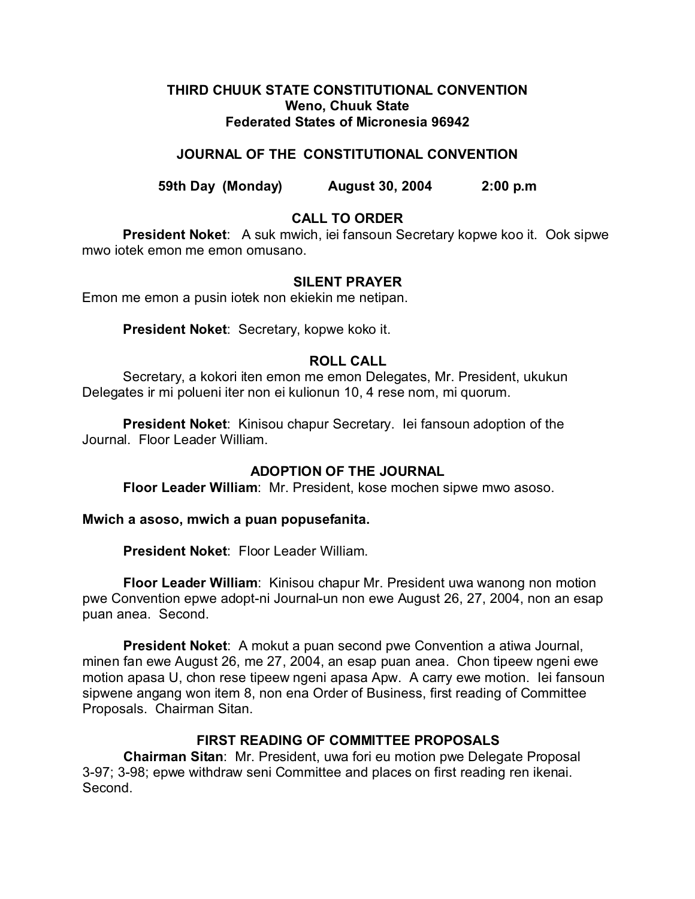### **THIRD CHUUK STATE CONSTITUTIONAL CONVENTION Weno, Chuuk State Federated States of Micronesia 96942**

## **JOURNAL OF THE CONSTITUTIONAL CONVENTION**

**59th Day (Monday) August 30, 2004 2:00 p.m**

## **CALL TO ORDER**

**President Noket**: A suk mwich, iei fansoun Secretary kopwe koo it. Ook sipwe mwo iotek emon me emon omusano.

### **SILENT PRAYER**

Emon me emon a pusin iotek non ekiekin me netipan.

**President Noket**: Secretary, kopwe koko it.

### **ROLL CALL**

Secretary, a kokori iten emon me emon Delegates, Mr. President, ukukun Delegates ir mi polueni iter non ei kulionun 10, 4 rese nom, mi quorum.

**President Noket**: Kinisou chapur Secretary. Iei fansoun adoption of the Journal. Floor Leader William.

### **ADOPTION OF THE JOURNAL**

**Floor Leader William**: Mr. President, kose mochen sipwe mwo asoso.

**Mwich a asoso, mwich a puan popusefanita.**

**President Noket**: Floor Leader William.

**Floor Leader William**: Kinisou chapur Mr. President uwa wanong non motion pwe Convention epwe adopt-ni Journal-un non ewe August 26, 27, 2004, non an esap puan anea. Second.

**President Noket**: A mokut a puan second pwe Convention a atiwa Journal, minen fan ewe August 26, me 27, 2004, an esap puan anea. Chon tipeew ngeni ewe motion apasa U, chon rese tipeew ngeni apasa Apw. A carry ewe motion. Iei fansoun sipwene angang won item 8, non ena Order of Business, first reading of Committee Proposals. Chairman Sitan.

# **FIRST READING OF COMMITTEE PROPOSALS**

**Chairman Sitan**: Mr. President, uwa fori eu motion pwe Delegate Proposal 3-97; 3-98; epwe withdraw seni Committee and places on first reading ren ikenai. Second.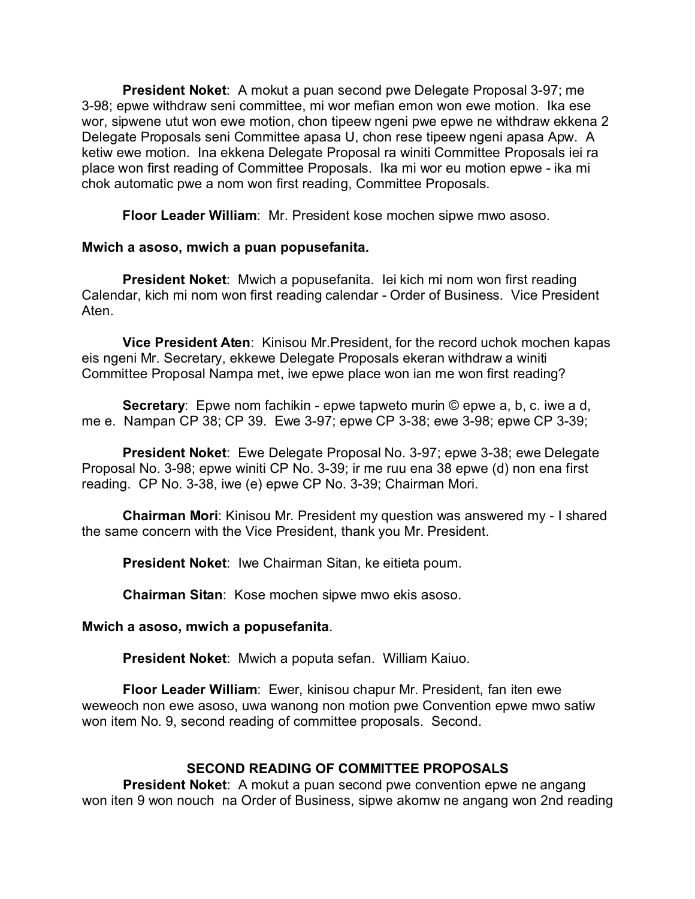**President Noket**: A mokut a puan second pwe Delegate Proposal 3-97; me 3-98; epwe withdraw seni committee, mi wor mefian emon won ewe motion. Ika ese wor, sipwene utut won ewe motion, chon tipeew ngeni pwe epwe ne withdraw ekkena 2 Delegate Proposals seni Committee apasa U, chon rese tipeew ngeni apasa Apw. A ketiw ewe motion. Ina ekkena Delegate Proposal ra winiti Committee Proposals iei ra place won first reading of Committee Proposals. Ika mi wor eu motion epwe - ika mi chok automatic pwe a nom won first reading, Committee Proposals.

**Floor Leader William**: Mr. President kose mochen sipwe mwo asoso.

### **Mwich a asoso, mwich a puan popusefanita.**

**President Noket**: Mwich a popusefanita. Iei kich mi nom won first reading Calendar, kich mi nom won first reading calendar - Order of Business. Vice President Aten.

**Vice President Aten**: Kinisou Mr.President, for the record uchok mochen kapas eis ngeni Mr. Secretary, ekkewe Delegate Proposals ekeran withdraw a winiti Committee Proposal Nampa met, iwe epwe place won ian me won first reading?

**Secretary**: Epwe nom fachikin - epwe tapweto murin © epwe a, b, c. iwe a d, me e. Nampan CP 38; CP 39. Ewe 3-97; epwe CP 3-38; ewe 3-98; epwe CP 3-39;

**President Noket**: Ewe Delegate Proposal No. 3-97; epwe 3-38; ewe Delegate Proposal No. 3-98; epwe winiti CP No. 3-39; ir me ruu ena 38 epwe (d) non ena first reading. CP No. 3-38, iwe (e) epwe CP No. 3-39; Chairman Mori.

**Chairman Mori**: Kinisou Mr. President my question was answered my - I shared the same concern with the Vice President, thank you Mr. President.

**President Noket**: Iwe Chairman Sitan, ke eitieta poum.

**Chairman Sitan**: Kose mochen sipwe mwo ekis asoso.

### **Mwich a asoso, mwich a popusefanita**.

**President Noket**: Mwich a poputa sefan. William Kaiuo.

**Floor Leader William**: Ewer, kinisou chapur Mr. President, fan iten ewe weweoch non ewe asoso, uwa wanong non motion pwe Convention epwe mwo satiw won item No. 9, second reading of committee proposals. Second.

### **SECOND READING OF COMMITTEE PROPOSALS**

**President Noket**: A mokut a puan second pwe convention epwe ne angang won iten 9 won nouch na Order of Business, sipwe akomw ne angang won 2nd reading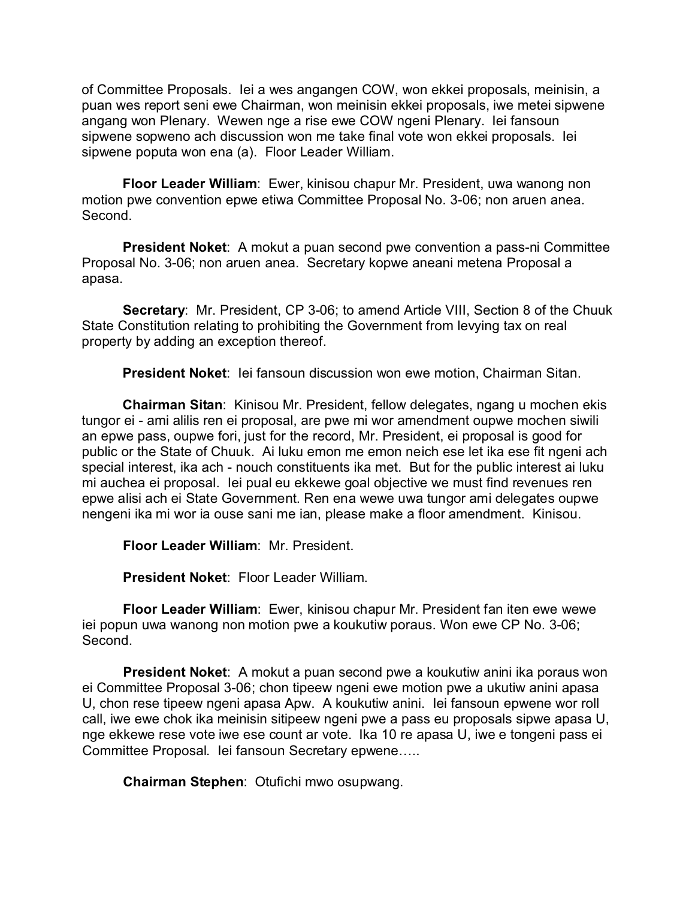of Committee Proposals. Iei a wes angangen COW, won ekkei proposals, meinisin, a puan wes report seni ewe Chairman, won meinisin ekkei proposals, iwe metei sipwene angang won Plenary. Wewen nge a rise ewe COW ngeni Plenary. Iei fansoun sipwene sopweno ach discussion won me take final vote won ekkei proposals. Iei sipwene poputa won ena (a). Floor Leader William.

**Floor Leader William**: Ewer, kinisou chapur Mr. President, uwa wanong non motion pwe convention epwe etiwa Committee Proposal No. 3-06; non aruen anea. Second.

**President Noket**: A mokut a puan second pwe convention a pass-ni Committee Proposal No. 3-06; non aruen anea. Secretary kopwe aneani metena Proposal a apasa.

**Secretary**: Mr. President, CP 3-06; to amend Article VIII, Section 8 of the Chuuk State Constitution relating to prohibiting the Government from levying tax on real property by adding an exception thereof.

**President Noket**: Iei fansoun discussion won ewe motion, Chairman Sitan.

**Chairman Sitan**: Kinisou Mr. President, fellow delegates, ngang u mochen ekis tungor ei - ami alilis ren ei proposal, are pwe mi wor amendment oupwe mochen siwili an epwe pass, oupwe fori, just for the record, Mr. President, ei proposal is good for public or the State of Chuuk. Ai luku emon me emon neich ese let ika ese fit ngeni ach special interest, ika ach - nouch constituents ika met. But for the public interest ai luku mi auchea ei proposal. Iei pual eu ekkewe goal objective we must find revenues ren epwe alisi ach ei State Government. Ren ena wewe uwa tungor ami delegates oupwe nengeni ika mi wor ia ouse sani me ian, please make a floor amendment. Kinisou.

**Floor Leader William**: Mr. President.

**President Noket**: Floor Leader William.

**Floor Leader William**: Ewer, kinisou chapur Mr. President fan iten ewe wewe iei popun uwa wanong non motion pwe a koukutiw poraus. Won ewe CP No. 3-06; Second.

**President Noket**: A mokut a puan second pwe a koukutiw anini ika poraus won ei Committee Proposal 3-06; chon tipeew ngeni ewe motion pwe a ukutiw anini apasa U, chon rese tipeew ngeni apasa Apw. A koukutiw anini. Iei fansoun epwene wor roll call, iwe ewe chok ika meinisin sitipeew ngeni pwe a pass eu proposals sipwe apasa U, nge ekkewe rese vote iwe ese count ar vote. Ika 10 re apasa U, iwe e tongeni pass ei Committee Proposal. Iei fansoun Secretary epwene…..

**Chairman Stephen**: Otufichi mwo osupwang.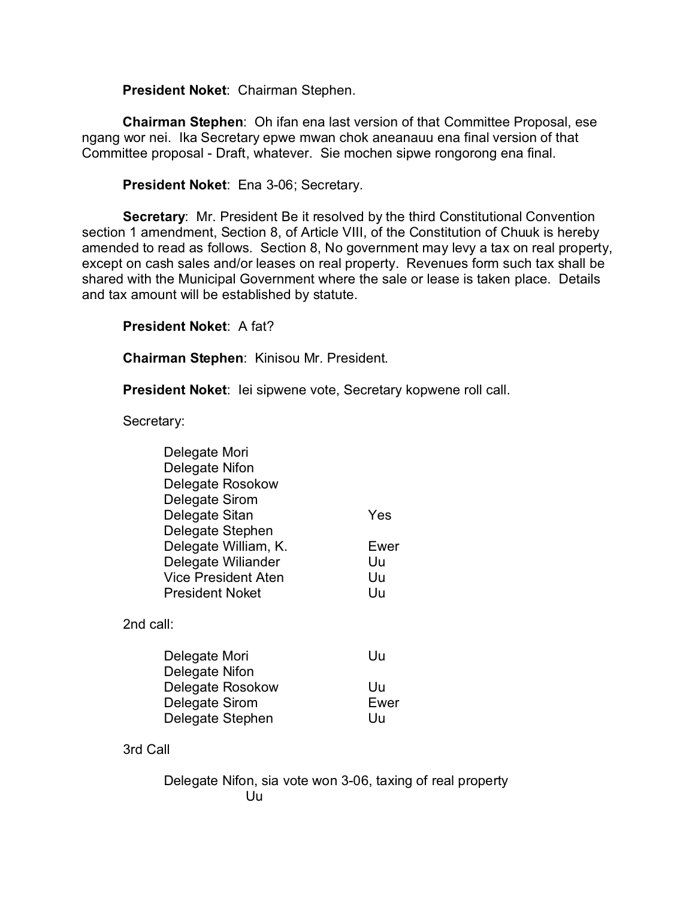**President Noket**: Chairman Stephen.

**Chairman Stephen**: Oh ifan ena last version of that Committee Proposal, ese ngang wor nei. Ika Secretary epwe mwan chok aneanauu ena final version of that Committee proposal - Draft, whatever. Sie mochen sipwe rongorong ena final.

**President Noket**: Ena 3-06; Secretary.

**Secretary**: Mr. President Be it resolved by the third Constitutional Convention section 1 amendment, Section 8, of Article VIII, of the Constitution of Chuuk is hereby amended to read as follows. Section 8, No government may levy a tax on real property, except on cash sales and/or leases on real property. Revenues form such tax shall be shared with the Municipal Government where the sale or lease is taken place. Details and tax amount will be established by statute.

**President Noket**: A fat?

**Chairman Stephen**: Kinisou Mr. President.

**President Noket**: Iei sipwene vote, Secretary kopwene roll call.

Secretary:

| Delegate Mori<br>Delegate Nifon<br>Delegate Rosokow<br>Delegate Sirom<br>Delegate Sitan<br>Delegate Stephen<br>Delegate William, K.<br>Delegate Wiliander<br>Vice President Aten | Yes<br>Ewer<br>Uu<br>Uu |
|----------------------------------------------------------------------------------------------------------------------------------------------------------------------------------|-------------------------|
| President Noket                                                                                                                                                                  | Uu                      |
| 2nd call:                                                                                                                                                                        |                         |
| Delegate Mori<br>Delegate Nifon                                                                                                                                                  | Uu                      |
| Delegate Rosokow<br>Delegate Sirom<br>Delegate Stephen                                                                                                                           | Uu<br>Ewer<br>Uu        |

3rd Call

Delegate Nifon, sia vote won 3-06, taxing of real property Uu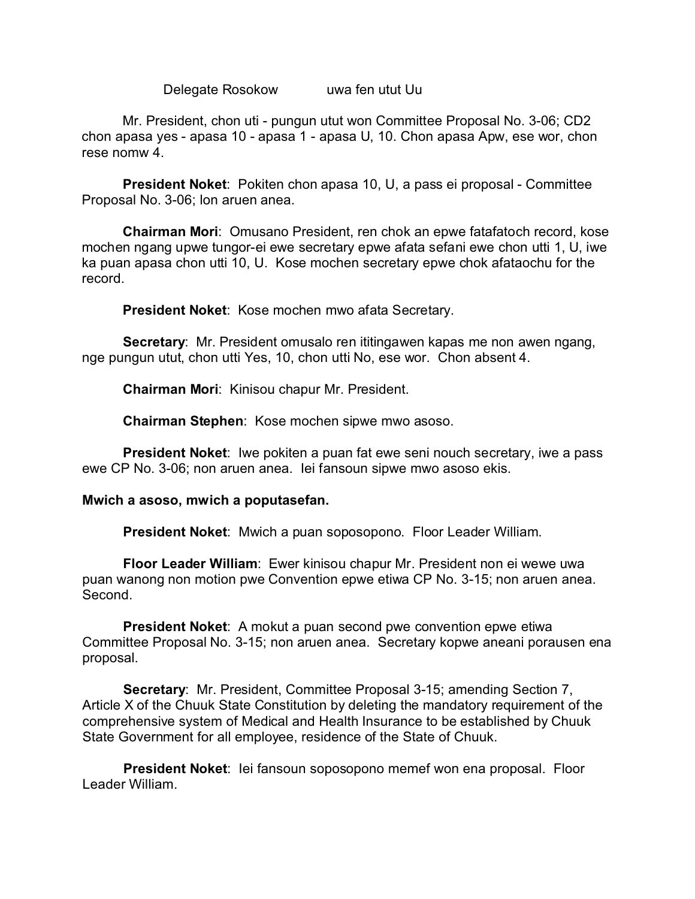Delegate Rosokow uwa fen utut Uu

Mr. President, chon uti - pungun utut won Committee Proposal No. 3-06; CD2 chon apasa yes - apasa 10 - apasa 1 - apasa U, 10. Chon apasa Apw, ese wor, chon rese nomw 4.

**President Noket**: Pokiten chon apasa 10, U, a pass ei proposal - Committee Proposal No. 3-06; lon aruen anea.

**Chairman Mori**: Omusano President, ren chok an epwe fatafatoch record, kose mochen ngang upwe tungor-ei ewe secretary epwe afata sefani ewe chon utti 1, U, iwe ka puan apasa chon utti 10, U. Kose mochen secretary epwe chok afataochu for the record.

**President Noket**: Kose mochen mwo afata Secretary.

**Secretary**: Mr. President omusalo ren ititingawen kapas me non awen ngang, nge pungun utut, chon utti Yes, 10, chon utti No, ese wor. Chon absent 4.

**Chairman Mori**: Kinisou chapur Mr. President.

**Chairman Stephen**: Kose mochen sipwe mwo asoso.

**President Noket**: Iwe pokiten a puan fat ewe seni nouch secretary, iwe a pass ewe CP No. 3-06; non aruen anea. Iei fansoun sipwe mwo asoso ekis.

### **Mwich a asoso, mwich a poputasefan.**

**President Noket**: Mwich a puan soposopono. Floor Leader William.

**Floor Leader William**: Ewer kinisou chapur Mr. President non ei wewe uwa puan wanong non motion pwe Convention epwe etiwa CP No. 3-15; non aruen anea. Second.

**President Noket**: A mokut a puan second pwe convention epwe etiwa Committee Proposal No. 3-15; non aruen anea. Secretary kopwe aneani porausen ena proposal.

**Secretary**: Mr. President, Committee Proposal 3-15; amending Section 7, Article X of the Chuuk State Constitution by deleting the mandatory requirement of the comprehensive system of Medical and Health Insurance to be established by Chuuk State Government for all employee, residence of the State of Chuuk.

**President Noket**: Iei fansoun soposopono memef won ena proposal. Floor Leader William.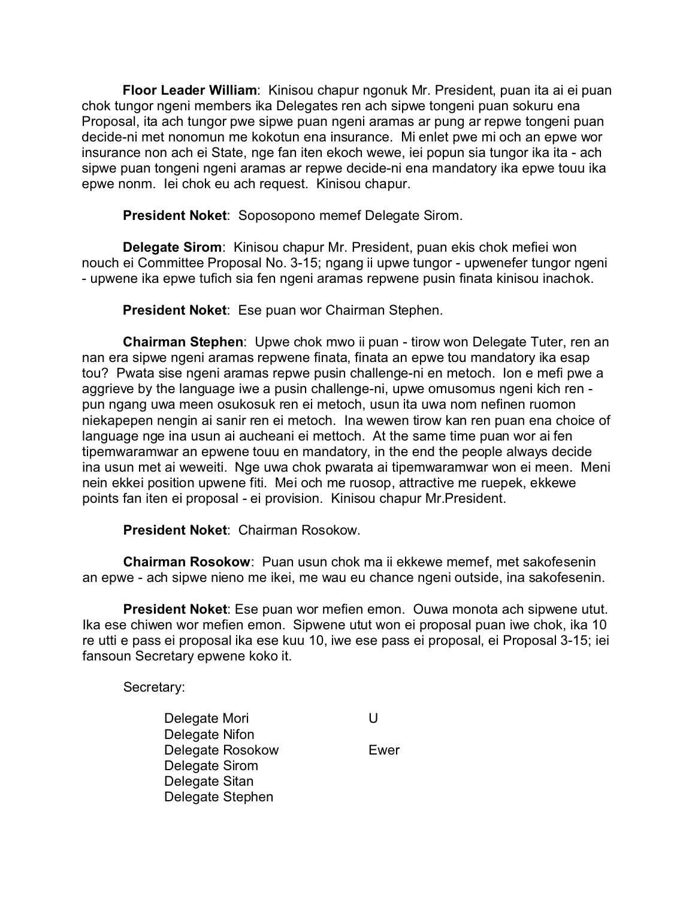**Floor Leader William**: Kinisou chapur ngonuk Mr. President, puan ita ai ei puan chok tungor ngeni members ika Delegates ren ach sipwe tongeni puan sokuru ena Proposal, ita ach tungor pwe sipwe puan ngeni aramas ar pung ar repwe tongeni puan decide-ni met nonomun me kokotun ena insurance. Mi enlet pwe mi och an epwe wor insurance non ach ei State, nge fan iten ekoch wewe, iei popun sia tungor ika ita - ach sipwe puan tongeni ngeni aramas ar repwe decide-ni ena mandatory ika epwe touu ika epwe nonm. Iei chok eu ach request. Kinisou chapur.

**President Noket**: Soposopono memef Delegate Sirom.

**Delegate Sirom**: Kinisou chapur Mr. President, puan ekis chok mefiei won nouch ei Committee Proposal No. 3-15; ngang ii upwe tungor - upwenefer tungor ngeni - upwene ika epwe tufich sia fen ngeni aramas repwene pusin finata kinisou inachok.

**President Noket**: Ese puan wor Chairman Stephen.

**Chairman Stephen**: Upwe chok mwo ii puan - tirow won Delegate Tuter, ren an nan era sipwe ngeni aramas repwene finata, finata an epwe tou mandatory ika esap tou? Pwata sise ngeni aramas repwe pusin challenge-ni en metoch. Ion e mefi pwe a aggrieve by the language iwe a pusin challenge-ni, upwe omusomus ngeni kich ren pun ngang uwa meen osukosuk ren ei metoch, usun ita uwa nom nefinen ruomon niekapepen nengin ai sanir ren ei metoch. Ina wewen tirow kan ren puan ena choice of language nge ina usun ai aucheani ei mettoch. At the same time puan wor ai fen tipemwaramwar an epwene touu en mandatory, in the end the people always decide ina usun met ai weweiti. Nge uwa chok pwarata ai tipemwaramwar won ei meen. Meni nein ekkei position upwene fiti. Mei och me ruosop, attractive me ruepek, ekkewe points fan iten ei proposal - ei provision. Kinisou chapur Mr.President.

**President Noket**: Chairman Rosokow.

**Chairman Rosokow**: Puan usun chok ma ii ekkewe memef, met sakofesenin an epwe - ach sipwe nieno me ikei, me wau eu chance ngeni outside, ina sakofesenin.

**President Noket**: Ese puan wor mefien emon. Ouwa monota ach sipwene utut. Ika ese chiwen wor mefien emon. Sipwene utut won ei proposal puan iwe chok, ika 10 re utti e pass ei proposal ika ese kuu 10, iwe ese pass ei proposal, ei Proposal 3-15; iei fansoun Secretary epwene koko it.

Secretary:

Delegate Mori **U** Delegate Nifon Delegate Rosokow **Ewer** Delegate Sirom Delegate Sitan Delegate Stephen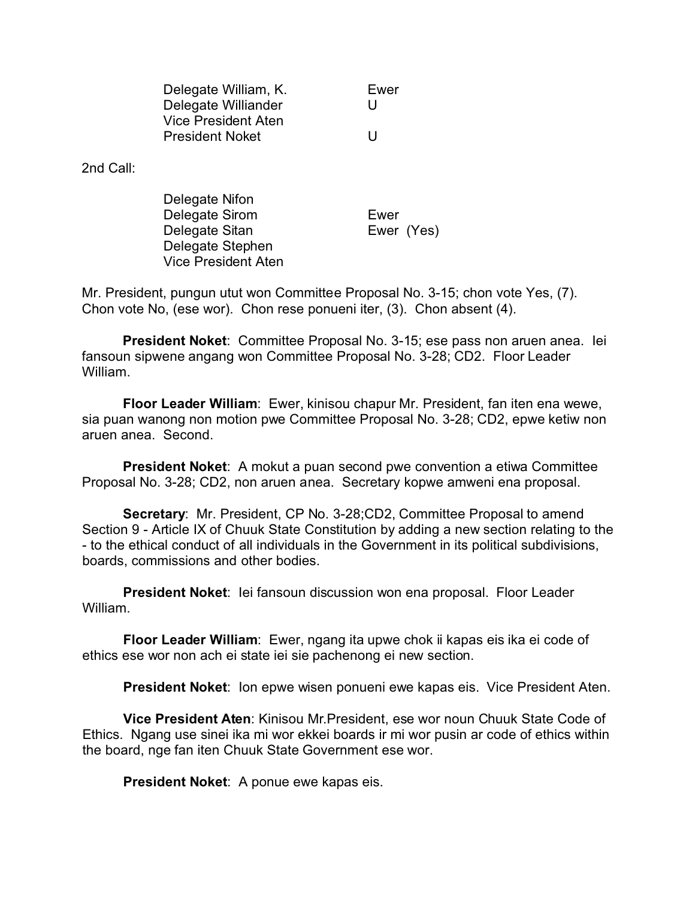| Delegate William, K.       | Ewer |
|----------------------------|------|
| Delegate Williander        | U    |
| <b>Vice President Aten</b> |      |
| <b>President Noket</b>     | U    |

2nd Call:

| Delegate Nifon      |            |
|---------------------|------------|
| Delegate Sirom      | Ewer       |
| Delegate Sitan      | Ewer (Yes) |
| Delegate Stephen    |            |
| Vice President Aten |            |

Mr. President, pungun utut won Committee Proposal No. 3-15; chon vote Yes, (7). Chon vote No, (ese wor). Chon rese ponueni iter, (3). Chon absent (4).

**President Noket**: Committee Proposal No. 3-15; ese pass non aruen anea. Iei fansoun sipwene angang won Committee Proposal No. 3-28; CD2. Floor Leader William.

**Floor Leader William**: Ewer, kinisou chapur Mr. President, fan iten ena wewe, sia puan wanong non motion pwe Committee Proposal No. 3-28; CD2, epwe ketiw non aruen anea. Second.

**President Noket**: A mokut a puan second pwe convention a etiwa Committee Proposal No. 3-28; CD2, non aruen anea. Secretary kopwe amweni ena proposal.

**Secretary**: Mr. President, CP No. 3-28;CD2, Committee Proposal to amend Section 9 - Article IX of Chuuk State Constitution by adding a new section relating to the - to the ethical conduct of all individuals in the Government in its political subdivisions, boards, commissions and other bodies.

**President Noket**: Iei fansoun discussion won ena proposal. Floor Leader William.

**Floor Leader William**: Ewer, ngang ita upwe chok ii kapas eis ika ei code of ethics ese wor non ach ei state iei sie pachenong ei new section.

**President Noket**: Ion epwe wisen ponueni ewe kapas eis. Vice President Aten.

**Vice President Aten**: Kinisou Mr.President, ese wor noun Chuuk State Code of Ethics. Ngang use sinei ika mi wor ekkei boards ir mi wor pusin ar code of ethics within the board, nge fan iten Chuuk State Government ese wor.

**President Noket**: A ponue ewe kapas eis.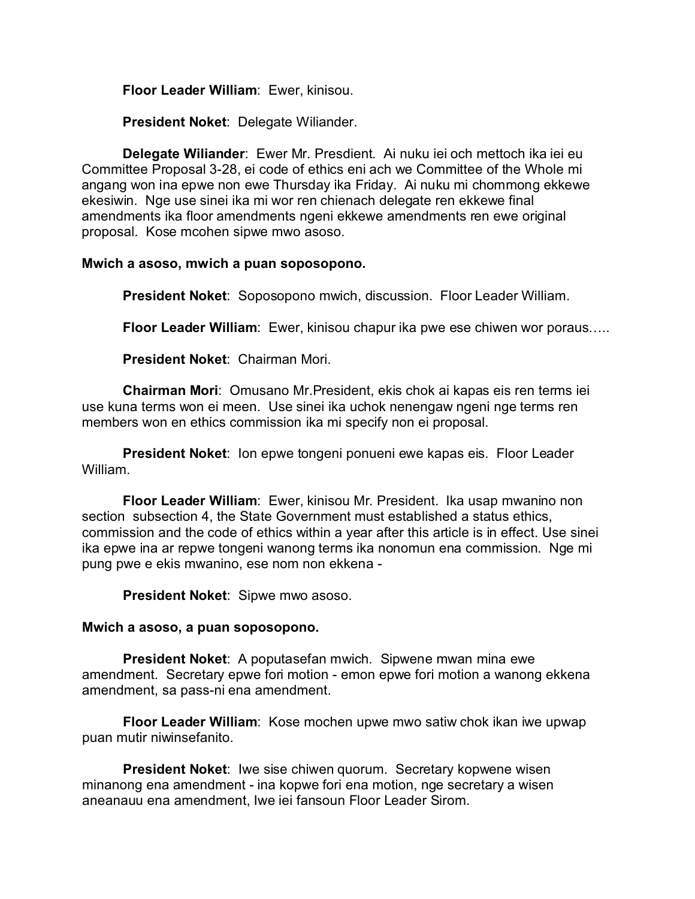**Floor Leader William**: Ewer, kinisou.

**President Noket**: Delegate Wiliander.

**Delegate Wiliander**: Ewer Mr. Presdient. Ai nuku iei och mettoch ika iei eu Committee Proposal 3-28, ei code of ethics eni ach we Committee of the Whole mi angang won ina epwe non ewe Thursday ika Friday. Ai nuku mi chommong ekkewe ekesiwin. Nge use sinei ika mi wor ren chienach delegate ren ekkewe final amendments ika floor amendments ngeni ekkewe amendments ren ewe original proposal. Kose mcohen sipwe mwo asoso.

### **Mwich a asoso, mwich a puan soposopono.**

**President Noket**: Soposopono mwich, discussion. Floor Leader William.

**Floor Leader William**: Ewer, kinisou chapur ika pwe ese chiwen wor poraus…..

**President Noket**: Chairman Mori.

**Chairman Mori**: Omusano Mr.President, ekis chok ai kapas eis ren terms iei use kuna terms won ei meen. Use sinei ika uchok nenengaw ngeni nge terms ren members won en ethics commission ika mi specify non ei proposal.

**President Noket**: Ion epwe tongeni ponueni ewe kapas eis. Floor Leader William.

**Floor Leader William**: Ewer, kinisou Mr. President. Ika usap mwanino non section subsection 4, the State Government must established a status ethics, commission and the code of ethics within a year after this article is in effect. Use sinei ika epwe ina ar repwe tongeni wanong terms ika nonomun ena commission. Nge mi pung pwe e ekis mwanino, ese nom non ekkena -

**President Noket**: Sipwe mwo asoso.

### **Mwich a asoso, a puan soposopono.**

**President Noket**: A poputasefan mwich. Sipwene mwan mina ewe amendment. Secretary epwe fori motion - emon epwe fori motion a wanong ekkena amendment, sa pass-ni ena amendment.

**Floor Leader William**: Kose mochen upwe mwo satiw chok ikan iwe upwap puan mutir niwinsefanito.

**President Noket**: Iwe sise chiwen quorum. Secretary kopwene wisen minanong ena amendment - ina kopwe fori ena motion, nge secretary a wisen aneanauu ena amendment, Iwe iei fansoun Floor Leader Sirom.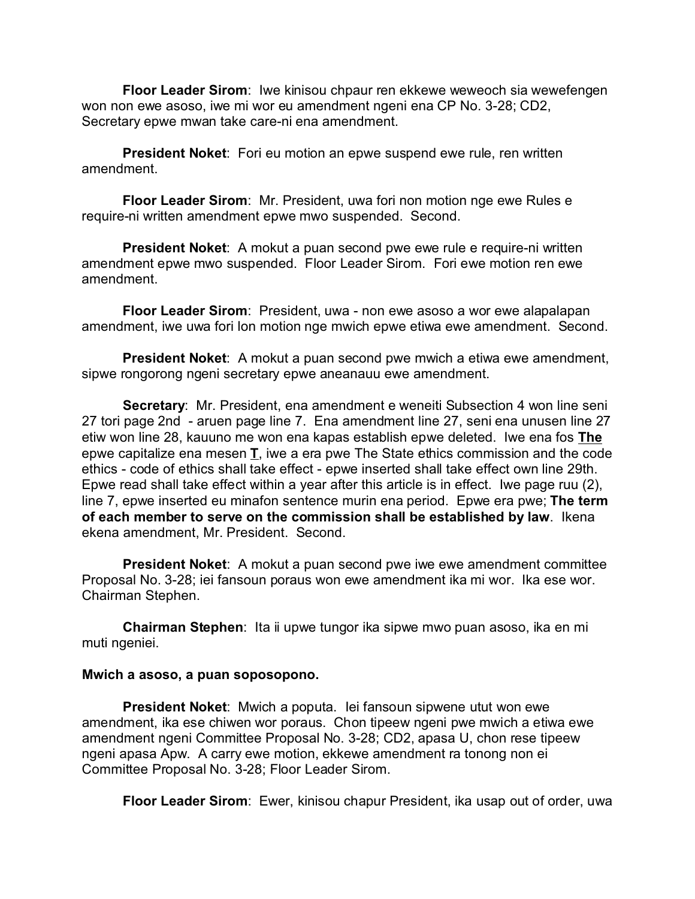**Floor Leader Sirom**: Iwe kinisou chpaur ren ekkewe weweoch sia wewefengen won non ewe asoso, iwe mi wor eu amendment ngeni ena CP No. 3-28; CD2, Secretary epwe mwan take care-ni ena amendment.

**President Noket**: Fori eu motion an epwe suspend ewe rule, ren written amendment.

**Floor Leader Sirom**: Mr. President, uwa fori non motion nge ewe Rules e require-ni written amendment epwe mwo suspended. Second.

**President Noket**: A mokut a puan second pwe ewe rule e require-ni written amendment epwe mwo suspended. Floor Leader Sirom. Fori ewe motion ren ewe amendment.

**Floor Leader Sirom**: President, uwa - non ewe asoso a wor ewe alapalapan amendment, iwe uwa fori lon motion nge mwich epwe etiwa ewe amendment. Second.

**President Noket**: A mokut a puan second pwe mwich a etiwa ewe amendment, sipwe rongorong ngeni secretary epwe aneanauu ewe amendment.

**Secretary**: Mr. President, ena amendment e weneiti Subsection 4 won line seni 27 tori page 2nd - aruen page line 7. Ena amendment line 27, seni ena unusen line 27 etiw won line 28, kauuno me won ena kapas establish epwe deleted. Iwe ena fos **The** epwe capitalize ena mesen **T**, iwe a era pwe The State ethics commission and the code ethics - code of ethics shall take effect - epwe inserted shall take effect own line 29th. Epwe read shall take effect within a year after this article is in effect. Iwe page ruu (2), line 7, epwe inserted eu minafon sentence murin ena period. Epwe era pwe; **The term of each member to serve on the commission shall be established by law**. Ikena ekena amendment, Mr. President. Second.

**President Noket**: A mokut a puan second pwe iwe ewe amendment committee Proposal No. 3-28; iei fansoun poraus won ewe amendment ika mi wor. Ika ese wor. Chairman Stephen.

**Chairman Stephen**: Ita ii upwe tungor ika sipwe mwo puan asoso, ika en mi muti ngeniei.

### **Mwich a asoso, a puan soposopono.**

**President Noket**: Mwich a poputa. Iei fansoun sipwene utut won ewe amendment, ika ese chiwen wor poraus. Chon tipeew ngeni pwe mwich a etiwa ewe amendment ngeni Committee Proposal No. 3-28; CD2, apasa U, chon rese tipeew ngeni apasa Apw. A carry ewe motion, ekkewe amendment ra tonong non ei Committee Proposal No. 3-28; Floor Leader Sirom.

**Floor Leader Sirom**: Ewer, kinisou chapur President, ika usap out of order, uwa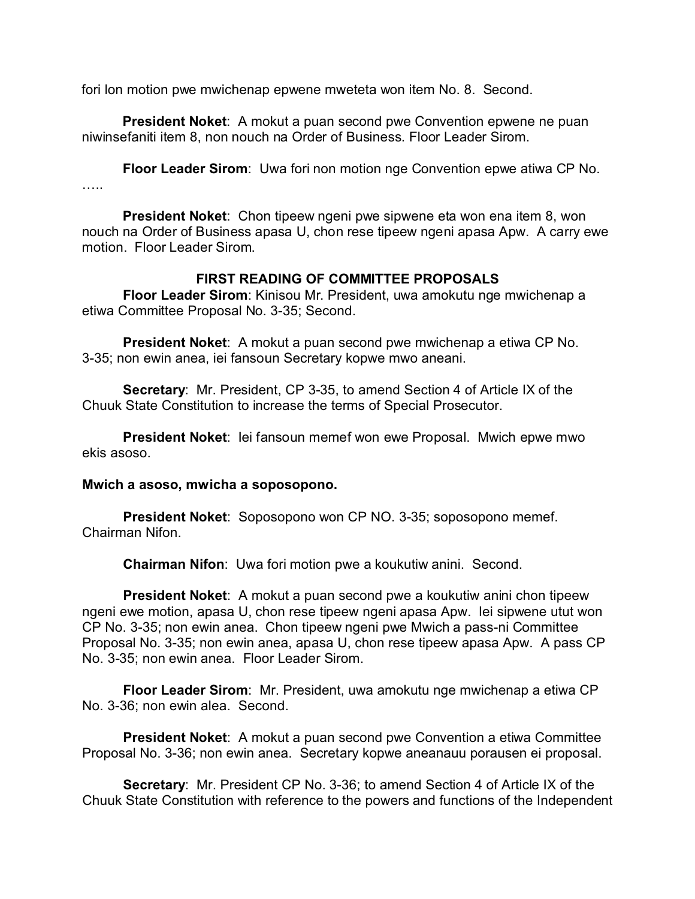fori lon motion pwe mwichenap epwene mweteta won item No. 8. Second.

**President Noket**: A mokut a puan second pwe Convention epwene ne puan niwinsefaniti item 8, non nouch na Order of Business. Floor Leader Sirom.

**Floor Leader Sirom**: Uwa fori non motion nge Convention epwe atiwa CP No. ……

**President Noket**: Chon tipeew ngeni pwe sipwene eta won ena item 8, won nouch na Order of Business apasa U, chon rese tipeew ngeni apasa Apw. A carry ewe motion. Floor Leader Sirom.

### **FIRST READING OF COMMITTEE PROPOSALS**

**Floor Leader Sirom**: Kinisou Mr. President, uwa amokutu nge mwichenap a etiwa Committee Proposal No. 3-35; Second.

**President Noket**: A mokut a puan second pwe mwichenap a etiwa CP No. 3-35; non ewin anea, iei fansoun Secretary kopwe mwo aneani.

**Secretary**: Mr. President, CP 3-35, to amend Section 4 of Article IX of the Chuuk State Constitution to increase the terms of Special Prosecutor.

**President Noket**: Iei fansoun memef won ewe Proposal. Mwich epwe mwo ekis asoso.

#### **Mwich a asoso, mwicha a soposopono.**

**President Noket**: Soposopono won CP NO. 3-35; soposopono memef. Chairman Nifon.

**Chairman Nifon**: Uwa fori motion pwe a koukutiw anini. Second.

**President Noket**: A mokut a puan second pwe a koukutiw anini chon tipeew ngeni ewe motion, apasa U, chon rese tipeew ngeni apasa Apw. Iei sipwene utut won CP No. 3-35; non ewin anea. Chon tipeew ngeni pwe Mwich a pass-ni Committee Proposal No. 3-35; non ewin anea, apasa U, chon rese tipeew apasa Apw. A pass CP No. 3-35; non ewin anea. Floor Leader Sirom.

**Floor Leader Sirom**: Mr. President, uwa amokutu nge mwichenap a etiwa CP No. 3-36; non ewin alea. Second.

**President Noket**: A mokut a puan second pwe Convention a etiwa Committee Proposal No. 3-36; non ewin anea. Secretary kopwe aneanauu porausen ei proposal.

**Secretary**: Mr. President CP No. 3-36; to amend Section 4 of Article IX of the Chuuk State Constitution with reference to the powers and functions of the Independent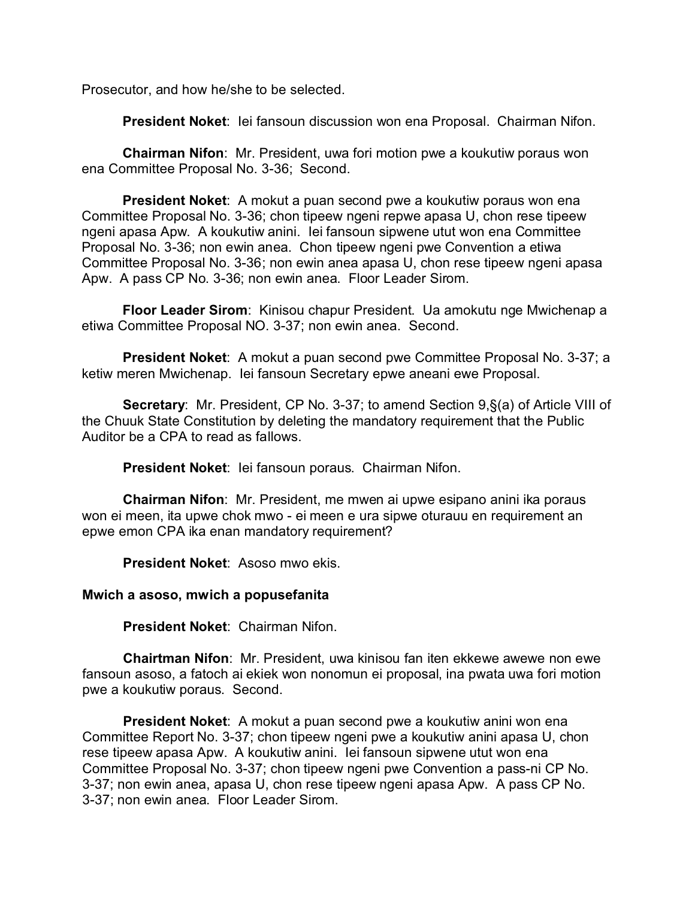Prosecutor, and how he/she to be selected.

**President Noket**: Iei fansoun discussion won ena Proposal. Chairman Nifon.

**Chairman Nifon**: Mr. President, uwa fori motion pwe a koukutiw poraus won ena Committee Proposal No. 3-36; Second.

**President Noket**: A mokut a puan second pwe a koukutiw poraus won ena Committee Proposal No. 3-36; chon tipeew ngeni repwe apasa U, chon rese tipeew ngeni apasa Apw. A koukutiw anini. Iei fansoun sipwene utut won ena Committee Proposal No. 3-36; non ewin anea. Chon tipeew ngeni pwe Convention a etiwa Committee Proposal No. 3-36; non ewin anea apasa U, chon rese tipeew ngeni apasa Apw. A pass CP No. 3-36; non ewin anea. Floor Leader Sirom.

**Floor Leader Sirom**: Kinisou chapur President. Ua amokutu nge Mwichenap a etiwa Committee Proposal NO. 3-37; non ewin anea. Second.

**President Noket**: A mokut a puan second pwe Committee Proposal No. 3-37; a ketiw meren Mwichenap. Iei fansoun Secretary epwe aneani ewe Proposal.

**Secretary**: Mr. President, CP No. 3-37; to amend Section 9,§(a) of Article VIII of the Chuuk State Constitution by deleting the mandatory requirement that the Public Auditor be a CPA to read as fallows.

**President Noket**: Iei fansoun poraus. Chairman Nifon.

**Chairman Nifon**: Mr. President, me mwen ai upwe esipano anini ika poraus won ei meen, ita upwe chok mwo - ei meen e ura sipwe oturauu en requirement an epwe emon CPA ika enan mandatory requirement?

**President Noket**: Asoso mwo ekis.

### **Mwich a asoso, mwich a popusefanita**

**President Noket**: Chairman Nifon.

**Chairtman Nifon**: Mr. President, uwa kinisou fan iten ekkewe awewe non ewe fansoun asoso, a fatoch ai ekiek won nonomun ei proposal, ina pwata uwa fori motion pwe a koukutiw poraus. Second.

**President Noket**: A mokut a puan second pwe a koukutiw anini won ena Committee Report No. 3-37; chon tipeew ngeni pwe a koukutiw anini apasa U, chon rese tipeew apasa Apw. A koukutiw anini. Iei fansoun sipwene utut won ena Committee Proposal No. 3-37; chon tipeew ngeni pwe Convention a pass-ni CP No. 3-37; non ewin anea, apasa U, chon rese tipeew ngeni apasa Apw. A pass CP No. 3-37; non ewin anea. Floor Leader Sirom.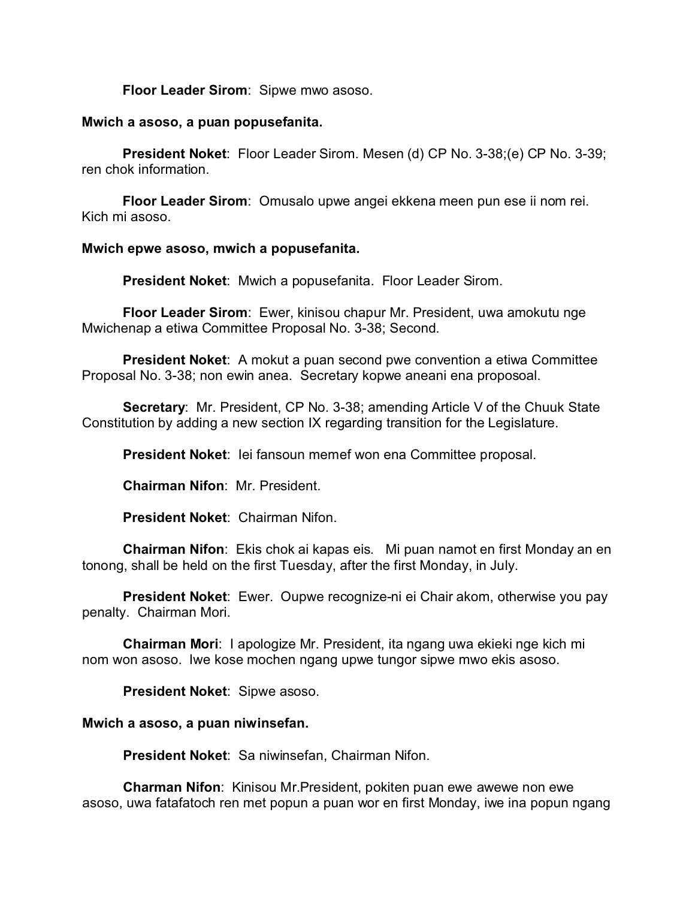**Floor Leader Sirom**: Sipwe mwo asoso.

### **Mwich a asoso, a puan popusefanita.**

**President Noket**: Floor Leader Sirom. Mesen (d) CP No. 3-38;(e) CP No. 3-39; ren chok information.

**Floor Leader Sirom**: Omusalo upwe angei ekkena meen pun ese ii nom rei. Kich mi asoso.

### **Mwich epwe asoso, mwich a popusefanita.**

**President Noket**: Mwich a popusefanita. Floor Leader Sirom.

**Floor Leader Sirom**: Ewer, kinisou chapur Mr. President, uwa amokutu nge Mwichenap a etiwa Committee Proposal No. 3-38; Second.

**President Noket**: A mokut a puan second pwe convention a etiwa Committee Proposal No. 3-38; non ewin anea. Secretary kopwe aneani ena proposoal.

**Secretary**: Mr. President, CP No. 3-38; amending Article V of the Chuuk State Constitution by adding a new section IX regarding transition for the Legislature.

**President Noket**: Iei fansoun memef won ena Committee proposal.

**Chairman Nifon**: Mr. President.

**President Noket**: Chairman Nifon.

**Chairman Nifon**: Ekis chok ai kapas eis. Mi puan namot en first Monday an en tonong, shall be held on the first Tuesday, after the first Monday, in July.

**President Noket**: Ewer. Oupwe recognize-ni ei Chair akom, otherwise you pay penalty. Chairman Mori.

**Chairman Mori**: I apologize Mr. President, ita ngang uwa ekieki nge kich mi nom won asoso. Iwe kose mochen ngang upwe tungor sipwe mwo ekis asoso.

**President Noket**: Sipwe asoso.

### **Mwich a asoso, a puan niwinsefan.**

**President Noket**: Sa niwinsefan, Chairman Nifon.

**Charman Nifon**: Kinisou Mr.President, pokiten puan ewe awewe non ewe asoso, uwa fatafatoch ren met popun a puan wor en first Monday, iwe ina popun ngang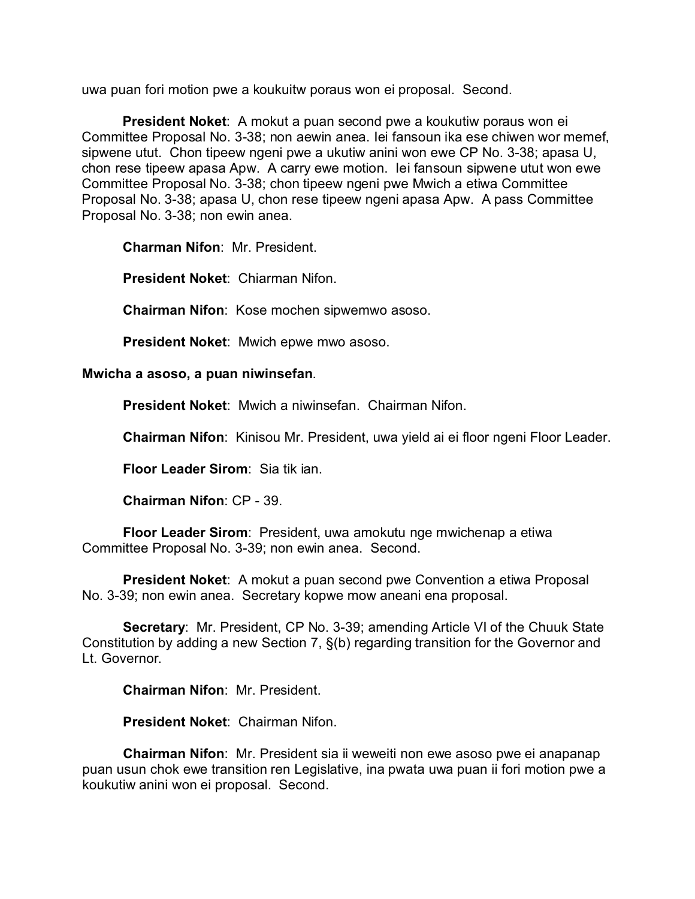uwa puan fori motion pwe a koukuitw poraus won ei proposal. Second.

**President Noket**: A mokut a puan second pwe a koukutiw poraus won ei Committee Proposal No. 3-38; non aewin anea. Iei fansoun ika ese chiwen wor memef, sipwene utut. Chon tipeew ngeni pwe a ukutiw anini won ewe CP No. 3-38; apasa U, chon rese tipeew apasa Apw. A carry ewe motion. Iei fansoun sipwene utut won ewe Committee Proposal No. 3-38; chon tipeew ngeni pwe Mwich a etiwa Committee Proposal No. 3-38; apasa U, chon rese tipeew ngeni apasa Apw. A pass Committee Proposal No. 3-38; non ewin anea.

**Charman Nifon**: Mr. President.

**President Noket**: Chiarman Nifon.

**Chairman Nifon**: Kose mochen sipwemwo asoso.

**President Noket**: Mwich epwe mwo asoso.

### **Mwicha a asoso, a puan niwinsefan**.

**President Noket**: Mwich a niwinsefan. Chairman Nifon.

**Chairman Nifon**: Kinisou Mr. President, uwa yield ai ei floor ngeni Floor Leader.

**Floor Leader Sirom**: Sia tik ian.

**Chairman Nifon**: CP - 39.

**Floor Leader Sirom**: President, uwa amokutu nge mwichenap a etiwa Committee Proposal No. 3-39; non ewin anea. Second.

**President Noket**: A mokut a puan second pwe Convention a etiwa Proposal No. 3-39; non ewin anea. Secretary kopwe mow aneani ena proposal.

**Secretary**: Mr. President, CP No. 3-39; amending Article VI of the Chuuk State Constitution by adding a new Section 7, §(b) regarding transition for the Governor and Lt. Governor.

**Chairman Nifon**: Mr. President.

**President Noket**: Chairman Nifon.

**Chairman Nifon**: Mr. President sia ii weweiti non ewe asoso pwe ei anapanap puan usun chok ewe transition ren Legislative, ina pwata uwa puan ii fori motion pwe a koukutiw anini won ei proposal. Second.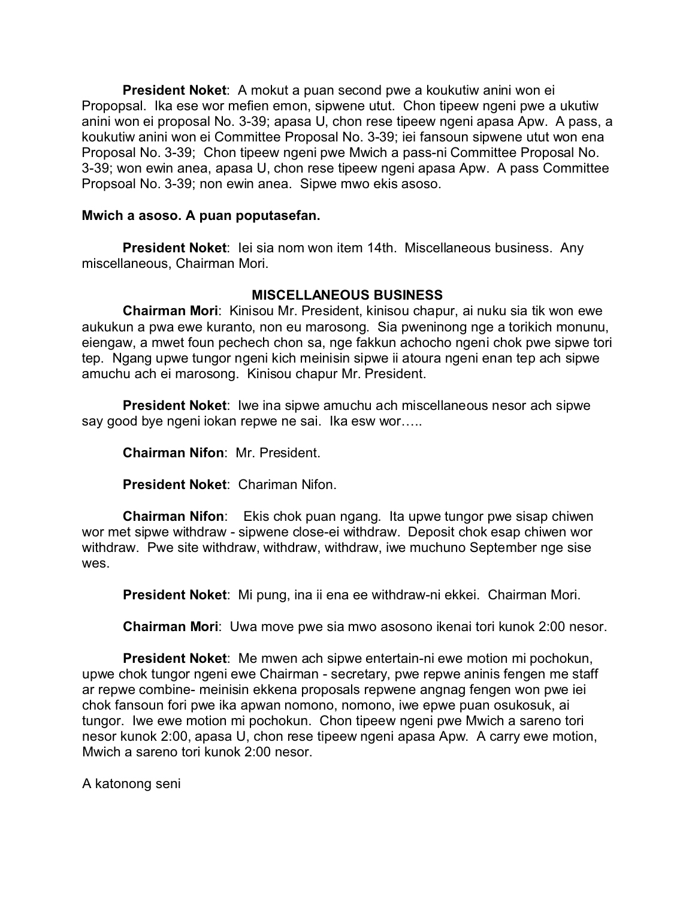**President Noket**: A mokut a puan second pwe a koukutiw anini won ei Propopsal. Ika ese wor mefien emon, sipwene utut. Chon tipeew ngeni pwe a ukutiw anini won ei proposal No. 3-39; apasa U, chon rese tipeew ngeni apasa Apw. A pass, a koukutiw anini won ei Committee Proposal No. 3-39; iei fansoun sipwene utut won ena Proposal No. 3-39; Chon tipeew ngeni pwe Mwich a pass-ni Committee Proposal No. 3-39; won ewin anea, apasa U, chon rese tipeew ngeni apasa Apw. A pass Committee Propsoal No. 3-39; non ewin anea. Sipwe mwo ekis asoso.

### **Mwich a asoso. A puan poputasefan.**

**President Noket**: Iei sia nom won item 14th. Miscellaneous business. Any miscellaneous, Chairman Mori.

## **MISCELLANEOUS BUSINESS**

**Chairman Mori**: Kinisou Mr. President, kinisou chapur, ai nuku sia tik won ewe aukukun a pwa ewe kuranto, non eu marosong. Sia pweninong nge a torikich monunu, eiengaw, a mwet foun pechech chon sa, nge fakkun achocho ngeni chok pwe sipwe tori tep. Ngang upwe tungor ngeni kich meinisin sipwe ii atoura ngeni enan tep ach sipwe amuchu ach ei marosong. Kinisou chapur Mr. President.

**President Noket**: Iwe ina sipwe amuchu ach miscellaneous nesor ach sipwe say good bye ngeni iokan repwe ne sai. Ika esw wor…..

**Chairman Nifon**: Mr. President.

**President Noket**: Chariman Nifon.

**Chairman Nifon**: Ekis chok puan ngang. Ita upwe tungor pwe sisap chiwen wor met sipwe withdraw - sipwene close-ei withdraw. Deposit chok esap chiwen wor withdraw. Pwe site withdraw, withdraw, withdraw, iwe muchuno September nge sise wes.

**President Noket**: Mi pung, ina ii ena ee withdraw-ni ekkei. Chairman Mori.

**Chairman Mori**: Uwa move pwe sia mwo asosono ikenai tori kunok 2:00 nesor.

**President Noket**: Me mwen ach sipwe entertain-ni ewe motion mi pochokun, upwe chok tungor ngeni ewe Chairman - secretary, pwe repwe aninis fengen me staff ar repwe combine- meinisin ekkena proposals repwene angnag fengen won pwe iei chok fansoun fori pwe ika apwan nomono, nomono, iwe epwe puan osukosuk, ai tungor. Iwe ewe motion mi pochokun. Chon tipeew ngeni pwe Mwich a sareno tori nesor kunok 2:00, apasa U, chon rese tipeew ngeni apasa Apw. A carry ewe motion, Mwich a sareno tori kunok 2:00 nesor.

A katonong seni